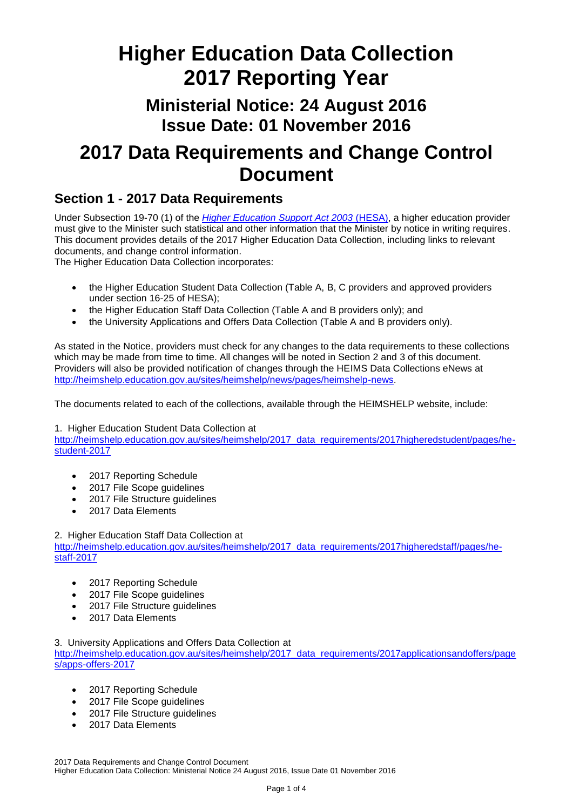# **Higher Education Data Collection 2017 Reporting Year**

## **Ministerial Notice: 24 August 2016 Issue Date: 01 November 2016**

# **2017 Data Requirements and Change Control Document**

### **Section 1 - 2017 Data Requirements**

Under Subsection 19-70 (1) of the *[Higher Education Support Act 2003](https://www.legislation.gov.au/Series/C2004A01234)* (HESA), a higher education provider must give to the Minister such statistical and other information that the Minister by notice in writing requires. This document provides details of the 2017 Higher Education Data Collection, including links to relevant documents, and change control information.

The Higher Education Data Collection incorporates:

- the Higher Education Student Data Collection (Table A, B, C providers and approved providers under section 16-25 of HESA);
- the Higher Education Staff Data Collection (Table A and B providers only); and
- the University Applications and Offers Data Collection (Table A and B providers only).

As stated in the Notice, providers must check for any changes to the data requirements to these collections which may be made from time to time. All changes will be noted in Section 2 and 3 of this document. Providers will also be provided notification of changes through the HEIMS Data Collections eNews at [http://heimshelp.education.gov.au/sites/heimshelp/news/pages/heimshelp-news.](http://heimshelp.education.gov.au/sites/heimshelp/news/pages/heimshelp-news)

The documents related to each of the collections, available through the HEIMSHELP website, include:

1. Higher Education Student Data Collection at

[http://heimshelp.education.gov.au/sites/heimshelp/2017\\_data\\_requirements/2017higheredstudent/pages/he](http://heimshelp.education.gov.au/sites/heimshelp/2017_data_requirements/2017higheredstudent/pages/he-student-2017)[student-2017](http://heimshelp.education.gov.au/sites/heimshelp/2017_data_requirements/2017higheredstudent/pages/he-student-2017)

- 2017 Reporting Schedule
- 2017 File Scope guidelines
- 2017 File Structure quidelines
- 2017 Data Elements

2. Higher Education Staff Data Collection at [http://heimshelp.education.gov.au/sites/heimshelp/2017\\_data\\_requirements/2017higheredstaff/pages/he](http://heimshelp.education.gov.au/sites/heimshelp/2017_data_requirements/2017higheredstaff/pages/he-staff-2017)[staff-2017](http://heimshelp.education.gov.au/sites/heimshelp/2017_data_requirements/2017higheredstaff/pages/he-staff-2017)

- 2017 Reporting Schedule
- 2017 File Scope guidelines
- 2017 File Structure quidelines
- 2017 Data Elements

3. University Applications and Offers Data Collection at [http://heimshelp.education.gov.au/sites/heimshelp/2017\\_data\\_requirements/2017applicationsandoffers/page](http://heimshelp.education.gov.au/sites/heimshelp/2017_data_requirements/2017applicationsandoffers/pages/apps-offers-2017) [s/apps-offers-2017](http://heimshelp.education.gov.au/sites/heimshelp/2017_data_requirements/2017applicationsandoffers/pages/apps-offers-2017)

- 2017 Reporting Schedule
- 2017 File Scope guidelines
- 2017 File Structure guidelines
- 2017 Data Flements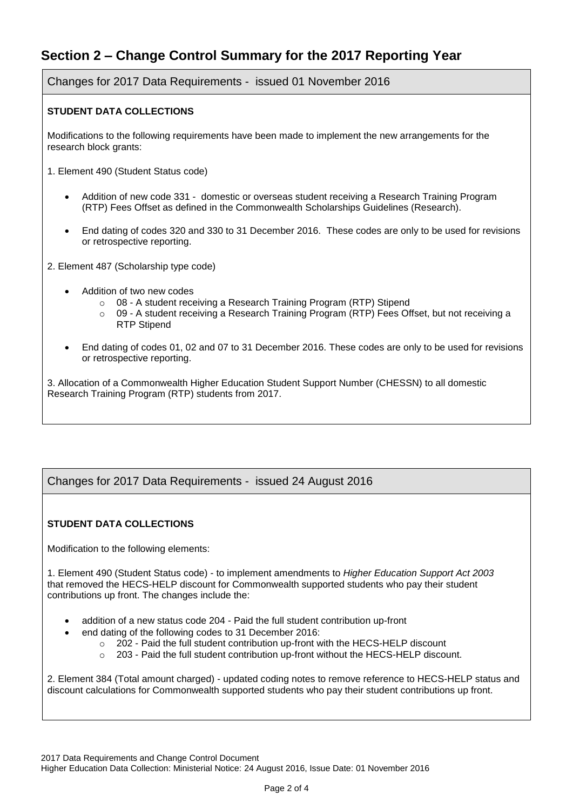### **Section 2 – Change Control Summary for the 2017 Reporting Year**

Changes for 2017 Data Requirements - issued 01 November 2016

#### **STUDENT DATA COLLECTIONS**

Modifications to the following requirements have been made to implement the new arrangements for the research block grants:

- 1. Element 490 (Student Status code)
	- Addition of new code 331 domestic or overseas student receiving a Research Training Program (RTP) Fees Offset as defined in the Commonwealth Scholarships Guidelines (Research).
	- End dating of codes 320 and 330 to 31 December 2016. These codes are only to be used for revisions or retrospective reporting.
- 2. Element 487 (Scholarship type code)
	- Addition of two new codes
		- o 08 A student receiving a Research Training Program (RTP) Stipend
		- o 09 A student receiving a Research Training Program (RTP) Fees Offset, but not receiving a RTP Stipend
	- End dating of codes 01, 02 and 07 to 31 December 2016. These codes are only to be used for revisions or retrospective reporting.

3. Allocation of a Commonwealth Higher Education Student Support Number (CHESSN) to all domestic Research Training Program (RTP) students from 2017.

#### Changes for 2017 Data Requirements - issued 24 August 2016

#### **STUDENT DATA COLLECTIONS**

Modification to the following elements:

1. Element 490 (Student Status code) - to implement amendments to *Higher Education Support Act 2003*  that removed the HECS-HELP discount for Commonwealth supported students who pay their student contributions up front. The changes include the:

- addition of a new status code 204 Paid the full student contribution up-front
- end dating of the following codes to 31 December 2016:
	- o 202 Paid the full student contribution up-front with the HECS-HELP discount
	- $\circ$  203 Paid the full student contribution up-front without the HECS-HELP discount.

2. Element 384 (Total amount charged) - updated coding notes to remove reference to HECS-HELP status and discount calculations for Commonwealth supported students who pay their student contributions up front.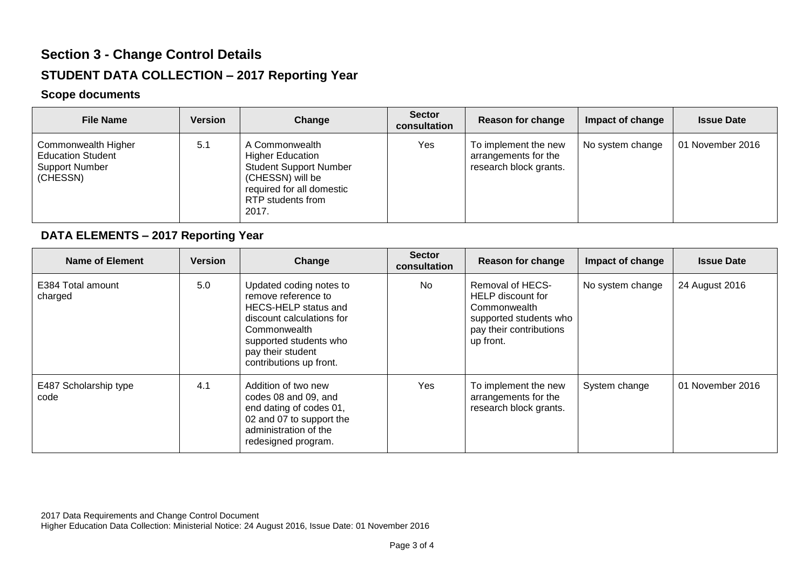## **Section 3 - Change Control Details STUDENT DATA COLLECTION – 2017 Reporting Year**

#### **Scope documents**

| <b>File Name</b>                                                                     | <b>Version</b> | Change                                                                                                                                                    | <b>Sector</b><br>consultation | Reason for change                                                      | Impact of change | <b>Issue Date</b> |
|--------------------------------------------------------------------------------------|----------------|-----------------------------------------------------------------------------------------------------------------------------------------------------------|-------------------------------|------------------------------------------------------------------------|------------------|-------------------|
| Commonwealth Higher<br><b>Education Student</b><br><b>Support Number</b><br>(CHESSN) | 5.1            | A Commonwealth<br><b>Higher Education</b><br><b>Student Support Number</b><br>(CHESSN) will be<br>required for all domestic<br>RTP students from<br>2017. | Yes                           | To implement the new<br>arrangements for the<br>research block grants. | No system change | 01 November 2016  |

#### **DATA ELEMENTS – 2017 Reporting Year**

| Name of Element               | <b>Version</b> | Change                                                                                                                                                                                        | <b>Sector</b><br>consultation | Reason for change                                                                                                       | Impact of change | <b>Issue Date</b> |
|-------------------------------|----------------|-----------------------------------------------------------------------------------------------------------------------------------------------------------------------------------------------|-------------------------------|-------------------------------------------------------------------------------------------------------------------------|------------------|-------------------|
| E384 Total amount<br>charged  | 5.0            | Updated coding notes to<br>remove reference to<br>HECS-HELP status and<br>discount calculations for<br>Commonwealth<br>supported students who<br>pay their student<br>contributions up front. | No.                           | Removal of HECS-<br>HELP discount for<br>Commonwealth<br>supported students who<br>pay their contributions<br>up front. | No system change | 24 August 2016    |
| E487 Scholarship type<br>code | 4.1            | Addition of two new<br>codes 08 and 09, and<br>end dating of codes 01,<br>02 and 07 to support the<br>administration of the<br>redesigned program.                                            | Yes                           | To implement the new<br>arrangements for the<br>research block grants.                                                  | System change    | 01 November 2016  |

2017 Data Requirements and Change Control Document Higher Education Data Collection: Ministerial Notice: 24 August 2016, Issue Date: 01 November 2016